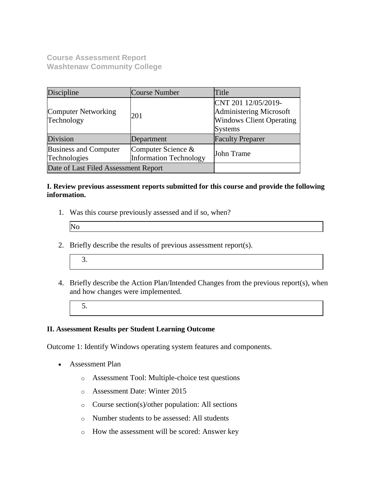**Course Assessment Report Washtenaw Community College**

| Discipline                                   | Course Number                                       | Title                                                                                               |
|----------------------------------------------|-----------------------------------------------------|-----------------------------------------------------------------------------------------------------|
| <b>Computer Networking</b><br>Technology     | 201                                                 | CNT 201 12/05/2019-<br>Administering Microsoft<br><b>Windows Client Operating</b><br><b>Systems</b> |
| Division                                     | Department                                          | <b>Faculty Preparer</b>                                                                             |
| <b>Business and Computer</b><br>Technologies | Computer Science &<br><b>Information Technology</b> | John Trame                                                                                          |
| Date of Last Filed Assessment Report         |                                                     |                                                                                                     |

### **I. Review previous assessment reports submitted for this course and provide the following information.**

1. Was this course previously assessed and if so, when?

| N |  |  |
|---|--|--|
|   |  |  |

- 2. Briefly describe the results of previous assessment report(s).
	- 3.
- 4. Briefly describe the Action Plan/Intended Changes from the previous report(s), when and how changes were implemented.
	- 5.

### **II. Assessment Results per Student Learning Outcome**

Outcome 1: Identify Windows operating system features and components.

- Assessment Plan
	- o Assessment Tool: Multiple-choice test questions
	- o Assessment Date: Winter 2015
	- o Course section(s)/other population: All sections
	- o Number students to be assessed: All students
	- o How the assessment will be scored: Answer key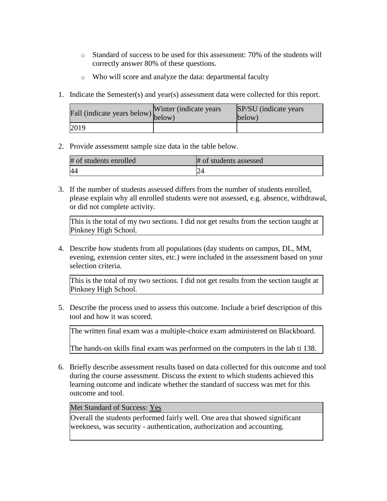- o Standard of success to be used for this assessment: 70% of the students will correctly answer 80% of these questions.
- o Who will score and analyze the data: departmental faculty
- 1. Indicate the Semester(s) and year(s) assessment data were collected for this report.

| riall (indicate years below) below) | Winter (indicate years) | SP/SU (indicate years)<br>below) |
|-------------------------------------|-------------------------|----------------------------------|
| 2019                                |                         |                                  |

| # of students enrolled | # of students assessed |
|------------------------|------------------------|
|                        |                        |

3. If the number of students assessed differs from the number of students enrolled, please explain why all enrolled students were not assessed, e.g. absence, withdrawal, or did not complete activity.

This is the total of my two sections. I did not get results from the section taught at Pinkney High School.

4. Describe how students from all populations (day students on campus, DL, MM, evening, extension center sites, etc.) were included in the assessment based on your selection criteria.

This is the total of my two sections. I did not get results from the section taught at Pinkney High School.

5. Describe the process used to assess this outcome. Include a brief description of this tool and how it was scored.

The written final exam was a multiple-choice exam administered on Blackboard.

The hands-on skills final exam was performed on the computers in the lab ti 138.

6. Briefly describe assessment results based on data collected for this outcome and tool during the course assessment. Discuss the extent to which students achieved this learning outcome and indicate whether the standard of success was met for this outcome and tool.

Met Standard of Success: Yes

Overall the students performed fairly well. One area that showed significant weekness, was security - authentication, authorization and accounting.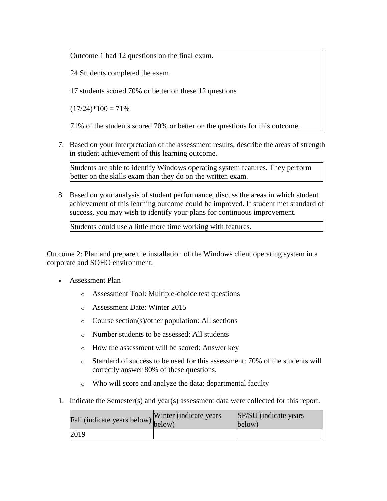Outcome 1 had 12 questions on the final exam.

24 Students completed the exam

17 students scored 70% or better on these 12 questions

 $(17/24)$ <sup>\*</sup> $100 = 71\%$ 

71% of the students scored 70% or better on the questions for this outcome.

7. Based on your interpretation of the assessment results, describe the areas of strength in student achievement of this learning outcome.

Students are able to identify Windows operating system features. They perform better on the skills exam than they do on the written exam.

8. Based on your analysis of student performance, discuss the areas in which student achievement of this learning outcome could be improved. If student met standard of success, you may wish to identify your plans for continuous improvement.

Students could use a little more time working with features.

Outcome 2: Plan and prepare the installation of the Windows client operating system in a corporate and SOHO environment.

- Assessment Plan
	- o Assessment Tool: Multiple-choice test questions
	- o Assessment Date: Winter 2015
	- o Course section(s)/other population: All sections
	- o Number students to be assessed: All students
	- o How the assessment will be scored: Answer key
	- $\circ$  Standard of success to be used for this assessment: 70% of the students will correctly answer 80% of these questions.
	- o Who will score and analyze the data: departmental faculty
- 1. Indicate the Semester(s) and year(s) assessment data were collected for this report.

| Fall (indicate years below) below) | Winter (indicate years) | SP/SU (indicate years)<br>below) |
|------------------------------------|-------------------------|----------------------------------|
| 2019                               |                         |                                  |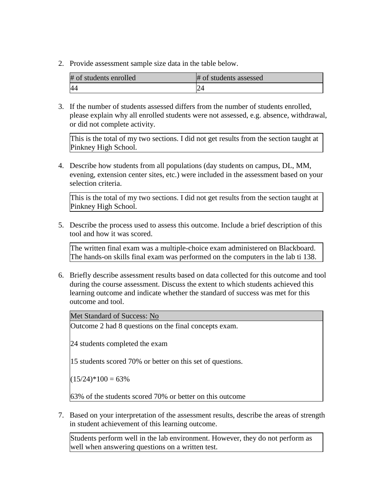| # of students enrolled | # of students assessed |
|------------------------|------------------------|
|                        |                        |

3. If the number of students assessed differs from the number of students enrolled, please explain why all enrolled students were not assessed, e.g. absence, withdrawal, or did not complete activity.

This is the total of my two sections. I did not get results from the section taught at Pinkney High School.

4. Describe how students from all populations (day students on campus, DL, MM, evening, extension center sites, etc.) were included in the assessment based on your selection criteria.

This is the total of my two sections. I did not get results from the section taught at Pinkney High School.

5. Describe the process used to assess this outcome. Include a brief description of this tool and how it was scored.

The written final exam was a multiple-choice exam administered on Blackboard. The hands-on skills final exam was performed on the computers in the lab ti 138.

6. Briefly describe assessment results based on data collected for this outcome and tool during the course assessment. Discuss the extent to which students achieved this learning outcome and indicate whether the standard of success was met for this outcome and tool.

Met Standard of Success: No

Outcome 2 had 8 questions on the final concepts exam.

24 students completed the exam

15 students scored 70% or better on this set of questions.

 $(15/24)*100 = 63\%$ 

63% of the students scored 70% or better on this outcome

7. Based on your interpretation of the assessment results, describe the areas of strength in student achievement of this learning outcome.

Students perform well in the lab environment. However, they do not perform as well when answering questions on a written test.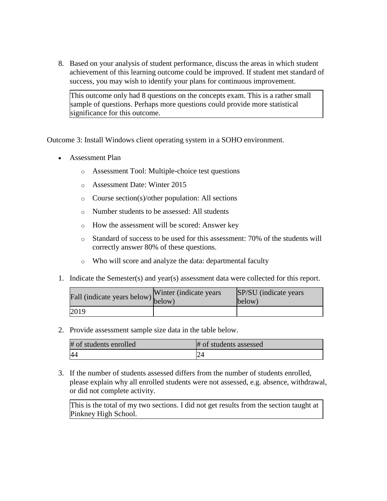8. Based on your analysis of student performance, discuss the areas in which student achievement of this learning outcome could be improved. If student met standard of success, you may wish to identify your plans for continuous improvement.

This outcome only had 8 questions on the concepts exam. This is a rather small sample of questions. Perhaps more questions could provide more statistical significance for this outcome.

Outcome 3: Install Windows client operating system in a SOHO environment.

- Assessment Plan
	- o Assessment Tool: Multiple-choice test questions
	- o Assessment Date: Winter 2015
	- o Course section(s)/other population: All sections
	- o Number students to be assessed: All students
	- o How the assessment will be scored: Answer key
	- o Standard of success to be used for this assessment: 70% of the students will correctly answer 80% of these questions.
	- o Who will score and analyze the data: departmental faculty
- 1. Indicate the Semester(s) and year(s) assessment data were collected for this report.

| Fall (indicate years below) below) | Winter (indicate years) | SP/SU (indicate years)<br>below) |
|------------------------------------|-------------------------|----------------------------------|
| 2019                               |                         |                                  |

2. Provide assessment sample size data in the table below.

| # of students enrolled | # of students assessed |
|------------------------|------------------------|
|                        |                        |

3. If the number of students assessed differs from the number of students enrolled, please explain why all enrolled students were not assessed, e.g. absence, withdrawal, or did not complete activity.

This is the total of my two sections. I did not get results from the section taught at Pinkney High School.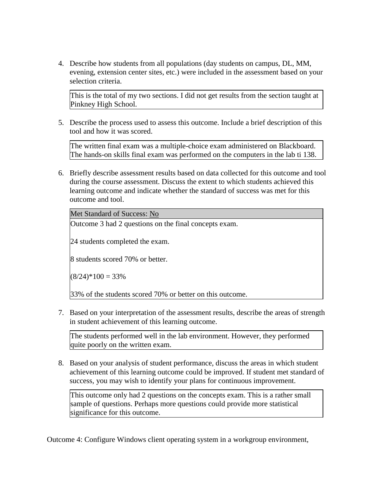4. Describe how students from all populations (day students on campus, DL, MM, evening, extension center sites, etc.) were included in the assessment based on your selection criteria.

This is the total of my two sections. I did not get results from the section taught at Pinkney High School.

5. Describe the process used to assess this outcome. Include a brief description of this tool and how it was scored.

The written final exam was a multiple-choice exam administered on Blackboard. The hands-on skills final exam was performed on the computers in the lab ti 138.

6. Briefly describe assessment results based on data collected for this outcome and tool during the course assessment. Discuss the extent to which students achieved this learning outcome and indicate whether the standard of success was met for this outcome and tool.

Met Standard of Success: No

Outcome 3 had 2 questions on the final concepts exam.

24 students completed the exam.

8 students scored 70% or better.

 $(8/24)*100 = 33\%$ 

33% of the students scored 70% or better on this outcome.

7. Based on your interpretation of the assessment results, describe the areas of strength in student achievement of this learning outcome.

The students performed well in the lab environment. However, they performed quite poorly on the written exam.

8. Based on your analysis of student performance, discuss the areas in which student achievement of this learning outcome could be improved. If student met standard of success, you may wish to identify your plans for continuous improvement.

This outcome only had 2 questions on the concepts exam. This is a rather small sample of questions. Perhaps more questions could provide more statistical significance for this outcome.

Outcome 4: Configure Windows client operating system in a workgroup environment,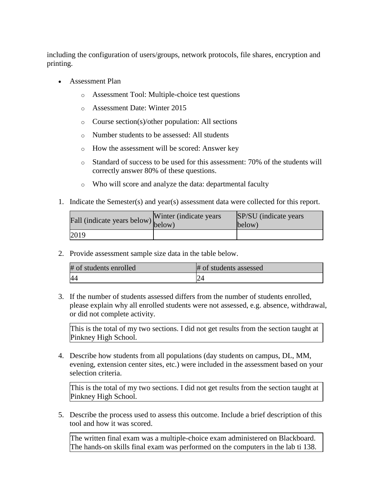including the configuration of users/groups, network protocols, file shares, encryption and printing.

- Assessment Plan
	- o Assessment Tool: Multiple-choice test questions
	- o Assessment Date: Winter 2015
	- o Course section(s)/other population: All sections
	- o Number students to be assessed: All students
	- o How the assessment will be scored: Answer key
	- $\circ$  Standard of success to be used for this assessment: 70% of the students will correctly answer 80% of these questions.
	- o Who will score and analyze the data: departmental faculty
- 1. Indicate the Semester(s) and year(s) assessment data were collected for this report.

| Fall (indicate years below) below) | Winter (indicate years) | SP/SU (indicate years)<br>below) |
|------------------------------------|-------------------------|----------------------------------|
| 2019                               |                         |                                  |

2. Provide assessment sample size data in the table below.

| # of students enrolled | # of students assessed |
|------------------------|------------------------|
|                        |                        |

3. If the number of students assessed differs from the number of students enrolled, please explain why all enrolled students were not assessed, e.g. absence, withdrawal, or did not complete activity.

This is the total of my two sections. I did not get results from the section taught at Pinkney High School.

4. Describe how students from all populations (day students on campus, DL, MM, evening, extension center sites, etc.) were included in the assessment based on your selection criteria.

This is the total of my two sections. I did not get results from the section taught at Pinkney High School.

5. Describe the process used to assess this outcome. Include a brief description of this tool and how it was scored.

The written final exam was a multiple-choice exam administered on Blackboard. The hands-on skills final exam was performed on the computers in the lab ti 138.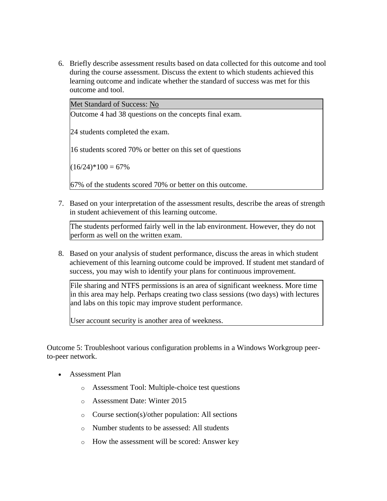6. Briefly describe assessment results based on data collected for this outcome and tool during the course assessment. Discuss the extent to which students achieved this learning outcome and indicate whether the standard of success was met for this outcome and tool.

Met Standard of Success: No

Outcome 4 had 38 questions on the concepts final exam.

24 students completed the exam.

16 students scored 70% or better on this set of questions

 $(16/24)*100 = 67%$ 

67% of the students scored 70% or better on this outcome.

7. Based on your interpretation of the assessment results, describe the areas of strength in student achievement of this learning outcome.

The students performed fairly well in the lab environment. However, they do not perform as well on the written exam.

8. Based on your analysis of student performance, discuss the areas in which student achievement of this learning outcome could be improved. If student met standard of success, you may wish to identify your plans for continuous improvement.

File sharing and NTFS permissions is an area of significant weekness. More time in this area may help. Perhaps creating two class sessions (two days) with lectures and labs on this topic may improve student performance.

User account security is another area of weekness.

Outcome 5: Troubleshoot various configuration problems in a Windows Workgroup peerto-peer network.

- Assessment Plan
	- o Assessment Tool: Multiple-choice test questions
	- o Assessment Date: Winter 2015
	- o Course section(s)/other population: All sections
	- o Number students to be assessed: All students
	- o How the assessment will be scored: Answer key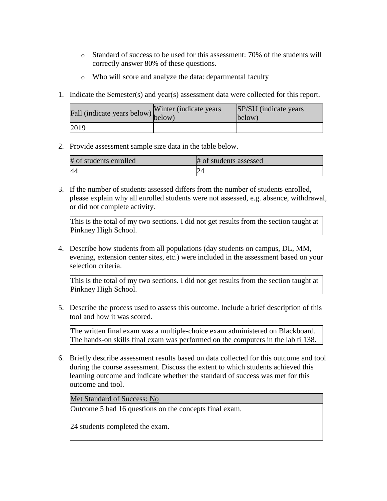- o Standard of success to be used for this assessment: 70% of the students will correctly answer 80% of these questions.
- o Who will score and analyze the data: departmental faculty
- 1. Indicate the Semester(s) and year(s) assessment data were collected for this report.

| riall (indicate years below) below) | Winter (indicate years) | SP/SU (indicate years)<br>below) |
|-------------------------------------|-------------------------|----------------------------------|
| 2019                                |                         |                                  |

| # of students enrolled | # of students assessed |
|------------------------|------------------------|
|                        |                        |

3. If the number of students assessed differs from the number of students enrolled, please explain why all enrolled students were not assessed, e.g. absence, withdrawal, or did not complete activity.

This is the total of my two sections. I did not get results from the section taught at Pinkney High School.

4. Describe how students from all populations (day students on campus, DL, MM, evening, extension center sites, etc.) were included in the assessment based on your selection criteria.

This is the total of my two sections. I did not get results from the section taught at Pinkney High School.

5. Describe the process used to assess this outcome. Include a brief description of this tool and how it was scored.

The written final exam was a multiple-choice exam administered on Blackboard. The hands-on skills final exam was performed on the computers in the lab ti 138.

6. Briefly describe assessment results based on data collected for this outcome and tool during the course assessment. Discuss the extent to which students achieved this learning outcome and indicate whether the standard of success was met for this outcome and tool.

Met Standard of Success: No

Outcome 5 had 16 questions on the concepts final exam.

24 students completed the exam.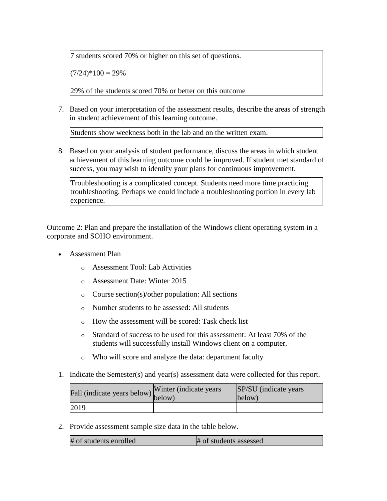7 students scored 70% or higher on this set of questions.

 $(7/24)*100 = 29%$ 

29% of the students scored 70% or better on this outcome

7. Based on your interpretation of the assessment results, describe the areas of strength in student achievement of this learning outcome.

Students show weekness both in the lab and on the written exam.

8. Based on your analysis of student performance, discuss the areas in which student achievement of this learning outcome could be improved. If student met standard of success, you may wish to identify your plans for continuous improvement.

Troubleshooting is a complicated concept. Students need more time practicing troubleshooting. Perhaps we could include a troubleshooting portion in every lab experience.

Outcome 2: Plan and prepare the installation of the Windows client operating system in a corporate and SOHO environment.

- Assessment Plan
	- o Assessment Tool: Lab Activities
	- o Assessment Date: Winter 2015
	- o Course section(s)/other population: All sections
	- o Number students to be assessed: All students
	- o How the assessment will be scored: Task check list
	- o Standard of success to be used for this assessment: At least 70% of the students will successfully install Windows client on a computer.
	- o Who will score and analyze the data: department faculty
- 1. Indicate the Semester(s) and year(s) assessment data were collected for this report.

| rall (indicate years below) below) | Winter (indicate years) | SP/SU (indicate years)<br>below) |
|------------------------------------|-------------------------|----------------------------------|
| 2019                               |                         |                                  |

2. Provide assessment sample size data in the table below.

| # of students enrolled | # of students assessed |
|------------------------|------------------------|
|------------------------|------------------------|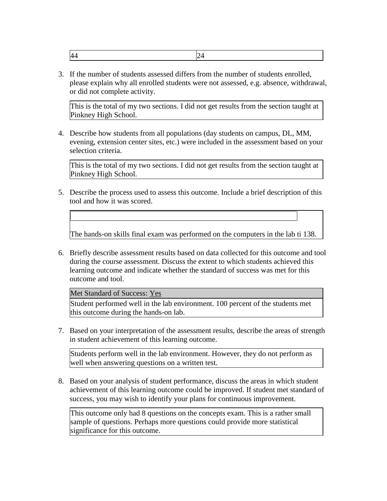|--|--|

3. If the number of students assessed differs from the number of students enrolled, please explain why all enrolled students were not assessed, e.g. absence, withdrawal, or did not complete activity.

This is the total of my two sections. I did not get results from the section taught at Pinkney High School.

4. Describe how students from all populations (day students on campus, DL, MM, evening, extension center sites, etc.) were included in the assessment based on your selection criteria.

This is the total of my two sections. I did not get results from the section taught at Pinkney High School.

5. Describe the process used to assess this outcome. Include a brief description of this tool and how it was scored.

The hands-on skills final exam was performed on the computers in the lab ti 138.

6. Briefly describe assessment results based on data collected for this outcome and tool during the course assessment. Discuss the extent to which students achieved this learning outcome and indicate whether the standard of success was met for this outcome and tool.

Met Standard of Success: Yes

Student performed well in the lab environment. 100 percent of the students met this outcome during the hands-on lab.

7. Based on your interpretation of the assessment results, describe the areas of strength in student achievement of this learning outcome.

Students perform well in the lab environment. However, they do not perform as well when answering questions on a written test.

8. Based on your analysis of student performance, discuss the areas in which student achievement of this learning outcome could be improved. If student met standard of success, you may wish to identify your plans for continuous improvement.

This outcome only had 8 questions on the concepts exam. This is a rather small sample of questions. Perhaps more questions could provide more statistical significance for this outcome.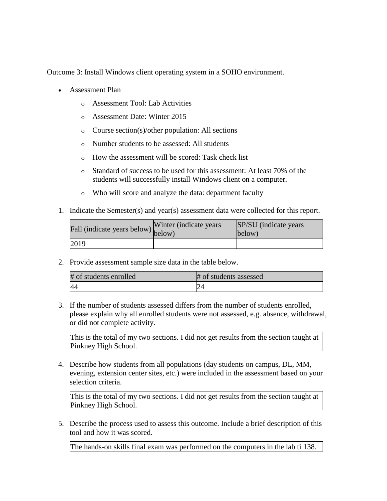Outcome 3: Install Windows client operating system in a SOHO environment.

- Assessment Plan
	- o Assessment Tool: Lab Activities
	- o Assessment Date: Winter 2015
	- o Course section(s)/other population: All sections
	- o Number students to be assessed: All students
	- o How the assessment will be scored: Task check list
	- o Standard of success to be used for this assessment: At least 70% of the students will successfully install Windows client on a computer.
	- o Who will score and analyze the data: department faculty
- 1. Indicate the Semester(s) and year(s) assessment data were collected for this report.

| fall (indicate years below) below) | Winter (indicate years) | SP/SU (indicate years)<br>below) |
|------------------------------------|-------------------------|----------------------------------|
| 2019                               |                         |                                  |

2. Provide assessment sample size data in the table below.

| # of students enrolled | # of students assessed |
|------------------------|------------------------|
| $\overline{44}$        |                        |

3. If the number of students assessed differs from the number of students enrolled, please explain why all enrolled students were not assessed, e.g. absence, withdrawal, or did not complete activity.

This is the total of my two sections. I did not get results from the section taught at Pinkney High School.

4. Describe how students from all populations (day students on campus, DL, MM, evening, extension center sites, etc.) were included in the assessment based on your selection criteria.

This is the total of my two sections. I did not get results from the section taught at Pinkney High School.

5. Describe the process used to assess this outcome. Include a brief description of this tool and how it was scored.

The hands-on skills final exam was performed on the computers in the lab ti 138.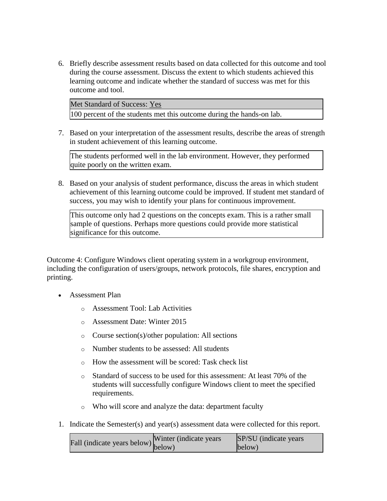6. Briefly describe assessment results based on data collected for this outcome and tool during the course assessment. Discuss the extent to which students achieved this learning outcome and indicate whether the standard of success was met for this outcome and tool.

Met Standard of Success: Yes

100 percent of the students met this outcome during the hands-on lab.

7. Based on your interpretation of the assessment results, describe the areas of strength in student achievement of this learning outcome.

The students performed well in the lab environment. However, they performed quite poorly on the written exam.

8. Based on your analysis of student performance, discuss the areas in which student achievement of this learning outcome could be improved. If student met standard of success, you may wish to identify your plans for continuous improvement.

This outcome only had 2 questions on the concepts exam. This is a rather small sample of questions. Perhaps more questions could provide more statistical significance for this outcome.

Outcome 4: Configure Windows client operating system in a workgroup environment, including the configuration of users/groups, network protocols, file shares, encryption and printing.

- Assessment Plan
	- o Assessment Tool: Lab Activities
	- o Assessment Date: Winter 2015
	- o Course section(s)/other population: All sections
	- o Number students to be assessed: All students
	- o How the assessment will be scored: Task check list
	- o Standard of success to be used for this assessment: At least 70% of the students will successfully configure Windows client to meet the specified requirements.
	- o Who will score and analyze the data: department faculty
- 1. Indicate the Semester(s) and year(s) assessment data were collected for this report.

| $\text{undicate years below}$ (indicate years below) below) | SP/SU (indicate years) |
|-------------------------------------------------------------|------------------------|
|                                                             | below)                 |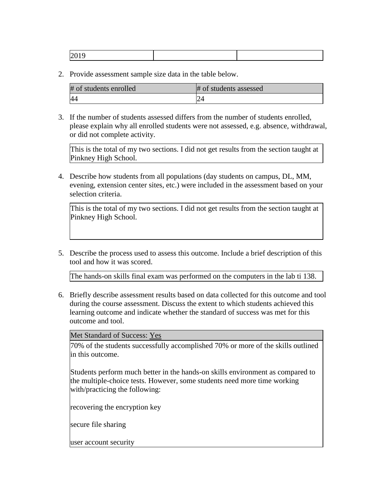| # of students enrolled | # of students assessed |
|------------------------|------------------------|
| 44                     |                        |

3. If the number of students assessed differs from the number of students enrolled, please explain why all enrolled students were not assessed, e.g. absence, withdrawal, or did not complete activity.

This is the total of my two sections. I did not get results from the section taught at Pinkney High School.

4. Describe how students from all populations (day students on campus, DL, MM, evening, extension center sites, etc.) were included in the assessment based on your selection criteria.

This is the total of my two sections. I did not get results from the section taught at Pinkney High School.

5. Describe the process used to assess this outcome. Include a brief description of this tool and how it was scored.

The hands-on skills final exam was performed on the computers in the lab ti 138.

6. Briefly describe assessment results based on data collected for this outcome and tool during the course assessment. Discuss the extent to which students achieved this learning outcome and indicate whether the standard of success was met for this outcome and tool.

Met Standard of Success: Yes

70% of the students successfully accomplished 70% or more of the skills outlined in this outcome.

Students perform much better in the hands-on skills environment as compared to the multiple-choice tests. However, some students need more time working with/practicing the following:

recovering the encryption key

secure file sharing

user account security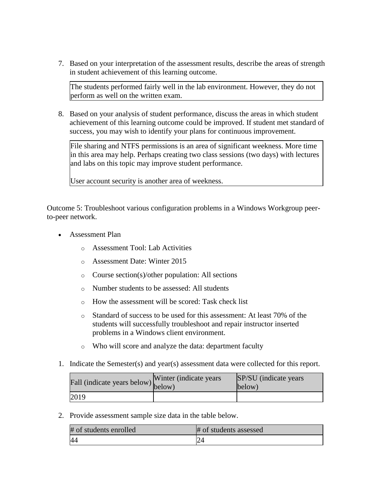7. Based on your interpretation of the assessment results, describe the areas of strength in student achievement of this learning outcome.

The students performed fairly well in the lab environment. However, they do not perform as well on the written exam.

8. Based on your analysis of student performance, discuss the areas in which student achievement of this learning outcome could be improved. If student met standard of success, you may wish to identify your plans for continuous improvement.

File sharing and NTFS permissions is an area of significant weekness. More time in this area may help. Perhaps creating two class sessions (two days) with lectures and labs on this topic may improve student performance.

User account security is another area of weekness.

Outcome 5: Troubleshoot various configuration problems in a Windows Workgroup peerto-peer network.

- Assessment Plan
	- o Assessment Tool: Lab Activities
	- o Assessment Date: Winter 2015
	- o Course section(s)/other population: All sections
	- o Number students to be assessed: All students
	- o How the assessment will be scored: Task check list
	- o Standard of success to be used for this assessment: At least 70% of the students will successfully troubleshoot and repair instructor inserted problems in a Windows client environment.
	- o Who will score and analyze the data: department faculty
- 1. Indicate the Semester(s) and year(s) assessment data were collected for this report.

| rall (indicate years below) below) | Winter (indicate years) | SP/SU (indicate years)<br>below) |
|------------------------------------|-------------------------|----------------------------------|
| 2019                               |                         |                                  |

2. Provide assessment sample size data in the table below.

| # of students enrolled | # of students assessed |
|------------------------|------------------------|
| 44                     |                        |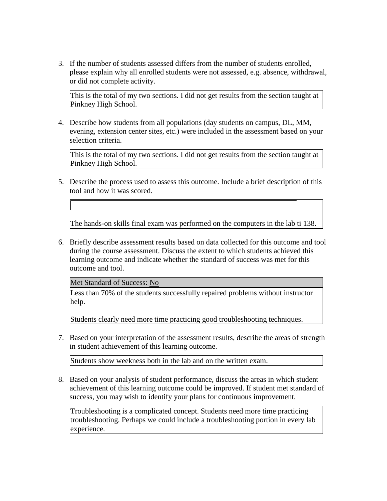3. If the number of students assessed differs from the number of students enrolled, please explain why all enrolled students were not assessed, e.g. absence, withdrawal, or did not complete activity.

This is the total of my two sections. I did not get results from the section taught at Pinkney High School.

4. Describe how students from all populations (day students on campus, DL, MM, evening, extension center sites, etc.) were included in the assessment based on your selection criteria.

This is the total of my two sections. I did not get results from the section taught at Pinkney High School.

5. Describe the process used to assess this outcome. Include a brief description of this tool and how it was scored.

The hands-on skills final exam was performed on the computers in the lab ti 138.

6. Briefly describe assessment results based on data collected for this outcome and tool during the course assessment. Discuss the extent to which students achieved this learning outcome and indicate whether the standard of success was met for this outcome and tool.

Met Standard of Success: No

Less than 70% of the students successfully repaired problems without instructor help.

Students clearly need more time practicing good troubleshooting techniques.

7. Based on your interpretation of the assessment results, describe the areas of strength in student achievement of this learning outcome.

Students show weekness both in the lab and on the written exam.

8. Based on your analysis of student performance, discuss the areas in which student achievement of this learning outcome could be improved. If student met standard of success, you may wish to identify your plans for continuous improvement.

Troubleshooting is a complicated concept. Students need more time practicing troubleshooting. Perhaps we could include a troubleshooting portion in every lab experience.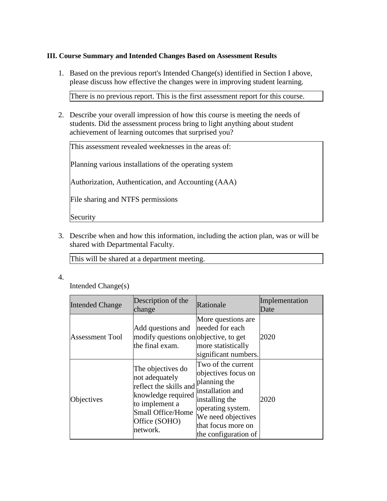## **III. Course Summary and Intended Changes Based on Assessment Results**

1. Based on the previous report's Intended Change(s) identified in Section I above, please discuss how effective the changes were in improving student learning.

There is no previous report. This is the first assessment report for this course.

2. Describe your overall impression of how this course is meeting the needs of students. Did the assessment process bring to light anything about student achievement of learning outcomes that surprised you?

This assessment revealed weeknesses in the areas of:

Planning various installations of the operating system

Authorization, Authentication, and Accounting (AAA)

File sharing and NTFS permissions

Security

3. Describe when and how this information, including the action plan, was or will be shared with Departmental Faculty.

This will be shared at a department meeting.

4.

Intended Change(s)

| <b>Intended Change</b> | Description of the<br>change                                                                                                                            | Rationale                                                                                                                                                                                | Implementation<br>Date |
|------------------------|---------------------------------------------------------------------------------------------------------------------------------------------------------|------------------------------------------------------------------------------------------------------------------------------------------------------------------------------------------|------------------------|
| <b>Assessment Tool</b> | Add questions and<br>modify questions on objective, to get<br>the final exam.                                                                           | More questions are.<br>needed for each<br>more statistically<br>significant numbers.                                                                                                     | 2020                   |
| Objectives             | The objectives do<br>not adequately<br>reflect the skills and<br>knowledge required<br>to implement a<br>Small Office/Home<br>Office (SOHO)<br>network. | Two of the current<br>objectives focus on<br>planning the<br>installation and<br>installing the<br>operating system.<br>We need objectives<br>that focus more on<br>the configuration of | 2020                   |